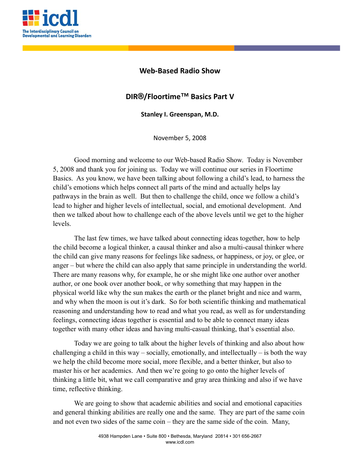

## **Web-Based Radio Show**

## **DIR®/Floortime™ Basics Part V**

**Stanley I. Greenspan, M.D.**

November 5, 2008

Good morning and welcome to our Web-based Radio Show. Today is November 5, 2008 and thank you for joining us. Today we will continue our series in Floortime Basics. As you know, we have been talking about following a child's lead, to harness the child's emotions which helps connect all parts of the mind and actually helps lay pathways in the brain as well. But then to challenge the child, once we follow a child's lead to higher and higher levels of intellectual, social, and emotional development. And then we talked about how to challenge each of the above levels until we get to the higher levels.

The last few times, we have talked about connecting ideas together, how to help the child become a logical thinker, a causal thinker and also a multi-causal thinker where the child can give many reasons for feelings like sadness, or happiness, or joy, or glee, or anger – but where the child can also apply that same principle in understanding the world. There are many reasons why, for example, he or she might like one author over another author, or one book over another book, or why something that may happen in the physical world like why the sun makes the earth or the planet bright and nice and warm, and why when the moon is out it's dark. So for both scientific thinking and mathematical reasoning and understanding how to read and what you read, as well as for understanding feelings, connecting ideas together is essential and to be able to connect many ideas together with many other ideas and having multi-casual thinking, that's essential also.

Today we are going to talk about the higher levels of thinking and also about how challenging a child in this way – socially, emotionally, and intellectually – is both the way we help the child become more social, more flexible, and a better thinker, but also to master his or her academics. And then we're going to go onto the higher levels of thinking a little bit, what we call comparative and gray area thinking and also if we have time, reflective thinking.

We are going to show that academic abilities and social and emotional capacities and general thinking abilities are really one and the same. They are part of the same coin and not even two sides of the same coin – they are the same side of the coin. Many,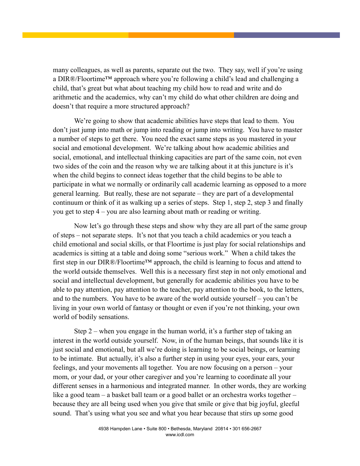many colleagues, as well as parents, separate out the two. They say, well if you're using a DIR®/Floortime™ approach where you're following a child's lead and challenging a child, that's great but what about teaching my child how to read and write and do arithmetic and the academics, why can't my child do what other children are doing and doesn't that require a more structured approach?

We're going to show that academic abilities have steps that lead to them. You don't just jump into math or jump into reading or jump into writing. You have to master a number of steps to get there. You need the exact same steps as you mastered in your social and emotional development. We're talking about how academic abilities and social, emotional, and intellectual thinking capacities are part of the same coin, not even two sides of the coin and the reason why we are talking about it at this juncture is it's when the child begins to connect ideas together that the child begins to be able to participate in what we normally or ordinarily call academic learning as opposed to a more general learning. But really, these are not separate – they are part of a developmental continuum or think of it as walking up a series of steps. Step 1, step 2, step 3 and finally you get to step 4 – you are also learning about math or reading or writing.

Now let's go through these steps and show why they are all part of the same group of steps – not separate steps. It's not that you teach a child academics or you teach a child emotional and social skills, or that Floortime is just play for social relationships and academics is sitting at a table and doing some "serious work." When a child takes the first step in our DIR®/Floortime™ approach, the child is learning to focus and attend to the world outside themselves. Well this is a necessary first step in not only emotional and social and intellectual development, but generally for academic abilities you have to be able to pay attention, pay attention to the teacher, pay attention to the book, to the letters, and to the numbers. You have to be aware of the world outside yourself – you can't be living in your own world of fantasy or thought or even if you're not thinking, your own world of bodily sensations.

Step 2 – when you engage in the human world, it's a further step of taking an interest in the world outside yourself. Now, in of the human beings, that sounds like it is just social and emotional, but all we're doing is learning to be social beings, or learning to be intimate. But actually, it's also a further step in using your eyes, your ears, your feelings, and your movements all together. You are now focusing on a person – your mom, or your dad, or your other caregiver and you're learning to coordinate all your different senses in a harmonious and integrated manner. In other words, they are working like a good team – a basket ball team or a good ballet or an orchestra works together – because they are all being used when you give that smile or give that big joyful, gleeful sound. That's using what you see and what you hear because that stirs up some good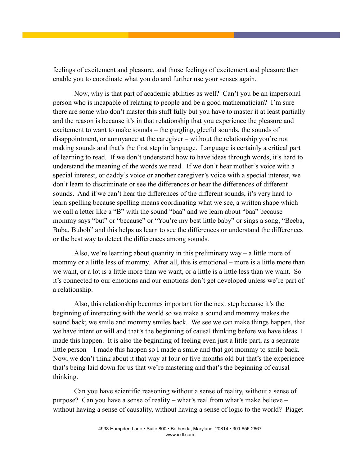feelings of excitement and pleasure, and those feelings of excitement and pleasure then enable you to coordinate what you do and further use your senses again.

Now, why is that part of academic abilities as well? Can't you be an impersonal person who is incapable of relating to people and be a good mathematician? I'm sure there are some who don't master this stuff fully but you have to master it at least partially and the reason is because it's in that relationship that you experience the pleasure and excitement to want to make sounds – the gurgling, gleeful sounds, the sounds of disappointment, or annoyance at the caregiver – without the relationship you're not making sounds and that's the first step in language. Language is certainly a critical part of learning to read. If we don't understand how to have ideas through words, it's hard to understand the meaning of the words we read. If we don't hear mother's voice with a special interest, or daddy's voice or another caregiver's voice with a special interest, we don't learn to discriminate or see the differences or hear the differences of different sounds. And if we can't hear the differences of the different sounds, it's very hard to learn spelling because spelling means coordinating what we see, a written shape which we call a letter like a "B" with the sound "baa" and we learn about "baa" because mommy says "but" or "because" or "You're my best little baby" or sings a song, "Beeba, Buba, Bubob" and this helps us learn to see the differences or understand the differences or the best way to detect the differences among sounds.

Also, we're learning about quantity in this preliminary way – a little more of mommy or a little less of mommy. After all, this is emotional – more is a little more than we want, or a lot is a little more than we want, or a little is a little less than we want. So it's connected to our emotions and our emotions don't get developed unless we're part of a relationship.

Also, this relationship becomes important for the next step because it's the beginning of interacting with the world so we make a sound and mommy makes the sound back; we smile and mommy smiles back. We see we can make things happen, that we have intent or will and that's the beginning of causal thinking before we have ideas. I made this happen. It is also the beginning of feeling even just a little part, as a separate little person – I made this happen so I made a smile and that got mommy to smile back. Now, we don't think about it that way at four or five months old but that's the experience that's being laid down for us that we're mastering and that's the beginning of causal thinking.

Can you have scientific reasoning without a sense of reality, without a sense of purpose? Can you have a sense of reality – what's real from what's make believe – without having a sense of causality, without having a sense of logic to the world? Piaget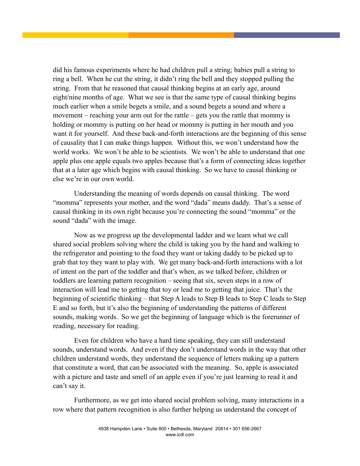did his famous experiments where he had children pull a string; babies pull a string to ring a bell. When he cut the string, it didn't ring the bell and they stopped pulling the string. From that he reasoned that causal thinking begins at an early age, around eight/nine months of age. What we see is that the same type of causal thinking begins much earlier when a smile begets a smile, and a sound begets a sound and where a movement – reaching your arm out for the rattle – gets you the rattle that mommy is holding or mommy is putting on her head or mommy is putting in her mouth and you want it for yourself. And these back-and-forth interactions are the beginning of this sense of causality that I can make things happen. Without this, we won't understand how the world works. We won't be able to be scientists. We won't be able to understand that one apple plus one apple equals two apples because that's a form of connecting ideas together that at a later age which begins with causal thinking. So we have to causal thinking or else we're in our own world.

Understanding the meaning of words depends on causal thinking. The word "momma" represents your mother, and the word "dada" means daddy. That's a sense of causal thinking in its own right because you're connecting the sound "momma" or the sound "dada" with the image.

Now as we progress up the developmental ladder and we learn what we call shared social problem solving where the child is taking you by the hand and walking to the refrigerator and pointing to the food they want or taking daddy to be picked up to grab that toy they want to play with. We get many back-and-forth interactions with a lot of intent on the part of the toddler and that's when, as we talked before, children or toddlers are learning pattern recognition – seeing that six, seven steps in a row of interaction will lead me to getting that toy or lead me to getting that juice. That's the beginning of scientific thinking – that Step A leads to Step B leads to Step C leads to Step E and so forth, but it's also the beginning of understanding the patterns of different sounds, making words. So we get the beginning of language which is the forerunner of reading, necessary for reading.

Even for children who have a hard time speaking, they can still understand sounds, understand words. And even if they don't understand words in the way that other children understand words, they understand the sequence of letters making up a pattern that constitute a word, that can be associated with the meaning. So, apple is associated with a picture and taste and smell of an apple even if you're just learning to read it and can't say it.

Furthermore, as we get into shared social problem solving, many interactions in a row where that pattern recognition is also further helping us understand the concept of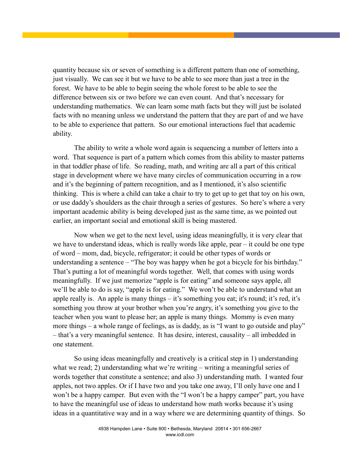quantity because six or seven of something is a different pattern than one of something, just visually. We can see it but we have to be able to see more than just a tree in the forest. We have to be able to begin seeing the whole forest to be able to see the difference between six or two before we can even count. And that's necessary for understanding mathematics. We can learn some math facts but they will just be isolated facts with no meaning unless we understand the pattern that they are part of and we have to be able to experience that pattern. So our emotional interactions fuel that academic ability.

The ability to write a whole word again is sequencing a number of letters into a word. That sequence is part of a pattern which comes from this ability to master patterns in that toddler phase of life. So reading, math, and writing are all a part of this critical stage in development where we have many circles of communication occurring in a row and it's the beginning of pattern recognition, and as I mentioned, it's also scientific thinking. This is where a child can take a chair to try to get up to get that toy on his own, or use daddy's shoulders as the chair through a series of gestures. So here's where a very important academic ability is being developed just as the same time, as we pointed out earlier, an important social and emotional skill is being mastered.

Now when we get to the next level, using ideas meaningfully, it is very clear that we have to understand ideas, which is really words like apple, pear – it could be one type of word – mom, dad, bicycle, refrigerator; it could be other types of words or understanding a sentence – "The boy was happy when he got a bicycle for his birthday." That's putting a lot of meaningful words together. Well, that comes with using words meaningfully. If we just memorize "apple is for eating" and someone says apple, all we'll be able to do is say, "apple is for eating." We won't be able to understand what an apple really is. An apple is many things – it's something you eat; it's round; it's red, it's something you throw at your brother when you're angry, it's something you give to the teacher when you want to please her; an apple is many things. Mommy is even many more things – a whole range of feelings, as is daddy, as is "I want to go outside and play" – that's a very meaningful sentence. It has desire, interest, causality – all imbedded in one statement.

So using ideas meaningfully and creatively is a critical step in 1) understanding what we read; 2) understanding what we're writing – writing a meaningful series of words together that constitute a sentence; and also 3) understanding math. I wanted four apples, not two apples. Or if I have two and you take one away, I'll only have one and I won't be a happy camper. But even with the "I won't be a happy camper" part, you have to have the meaningful use of ideas to understand how math works because it's using ideas in a quantitative way and in a way where we are determining quantity of things. So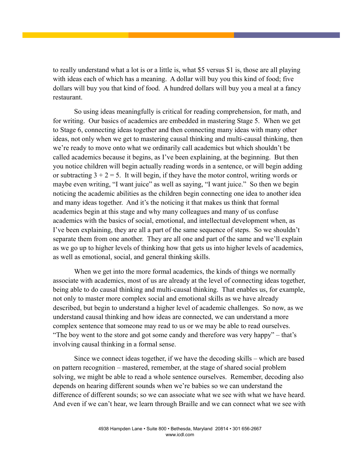to really understand what a lot is or a little is, what \$5 versus \$1 is, those are all playing with ideas each of which has a meaning. A dollar will buy you this kind of food; five dollars will buy you that kind of food. A hundred dollars will buy you a meal at a fancy restaurant.

So using ideas meaningfully is critical for reading comprehension, for math, and for writing. Our basics of academics are embedded in mastering Stage 5. When we get to Stage 6, connecting ideas together and then connecting many ideas with many other ideas, not only when we get to mastering causal thinking and multi-causal thinking, then we're ready to move onto what we ordinarily call academics but which shouldn't be called academics because it begins, as I've been explaining, at the beginning. But then you notice children will begin actually reading words in a sentence, or will begin adding or subtracting  $3 + 2 = 5$ . It will begin, if they have the motor control, writing words or maybe even writing, "I want juice" as well as saying, "I want juice." So then we begin noticing the academic abilities as the children begin connecting one idea to another idea and many ideas together. And it's the noticing it that makes us think that formal academics begin at this stage and why many colleagues and many of us confuse academics with the basics of social, emotional, and intellectual development when, as I've been explaining, they are all a part of the same sequence of steps. So we shouldn't separate them from one another. They are all one and part of the same and we'll explain as we go up to higher levels of thinking how that gets us into higher levels of academics, as well as emotional, social, and general thinking skills.

When we get into the more formal academics, the kinds of things we normally associate with academics, most of us are already at the level of connecting ideas together, being able to do causal thinking and multi-causal thinking. That enables us, for example, not only to master more complex social and emotional skills as we have already described, but begin to understand a higher level of academic challenges. So now, as we understand causal thinking and how ideas are connected, we can understand a more complex sentence that someone may read to us or we may be able to read ourselves. "The boy went to the store and got some candy and therefore was very happy" – that's involving causal thinking in a formal sense.

Since we connect ideas together, if we have the decoding skills – which are based on pattern recognition – mastered, remember, at the stage of shared social problem solving, we might be able to read a whole sentence ourselves. Remember, decoding also depends on hearing different sounds when we're babies so we can understand the difference of different sounds; so we can associate what we see with what we have heard. And even if we can't hear, we learn through Braille and we can connect what we see with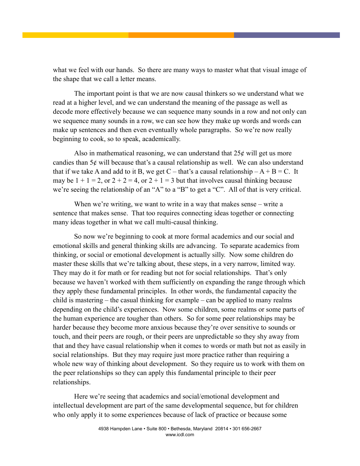what we feel with our hands. So there are many ways to master what that visual image of the shape that we call a letter means.

The important point is that we are now causal thinkers so we understand what we read at a higher level, and we can understand the meaning of the passage as well as decode more effectively because we can sequence many sounds in a row and not only can we sequence many sounds in a row, we can see how they make up words and words can make up sentences and then even eventually whole paragraphs. So we're now really beginning to cook, so to speak, academically.

Also in mathematical reasoning, we can understand that  $25¢$  will get us more candies than 5¢ will because that's a causal relationship as well. We can also understand that if we take A and add to it B, we get C – that's a causal relationship –  $A + B = C$ . It may be  $1 + 1 = 2$ , or  $2 + 2 = 4$ , or  $2 + 1 = 3$  but that involves causal thinking because we're seeing the relationship of an "A" to a "B" to get a "C". All of that is very critical.

When we're writing, we want to write in a way that makes sense – write a sentence that makes sense. That too requires connecting ideas together or connecting many ideas together in what we call multi-causal thinking.

So now we're beginning to cook at more formal academics and our social and emotional skills and general thinking skills are advancing. To separate academics from thinking, or social or emotional development is actually silly. Now some children do master these skills that we're talking about, these steps, in a very narrow, limited way. They may do it for math or for reading but not for social relationships. That's only because we haven't worked with them sufficiently on expanding the range through which they apply these fundamental principles. In other words, the fundamental capacity the child is mastering – the casual thinking for example – can be applied to many realms depending on the child's experiences. Now some children, some realms or some parts of the human experience are tougher than others. So for some peer relationships may be harder because they become more anxious because they're over sensitive to sounds or touch, and their peers are rough, or their peers are unpredictable so they shy away from that and they have casual relationship when it comes to words or math but not as easily in social relationships. But they may require just more practice rather than requiring a whole new way of thinking about development. So they require us to work with them on the peer relationships so they can apply this fundamental principle to their peer relationships.

Here we're seeing that academics and social/emotional development and intellectual development are part of the same developmental sequence, but for children who only apply it to some experiences because of lack of practice or because some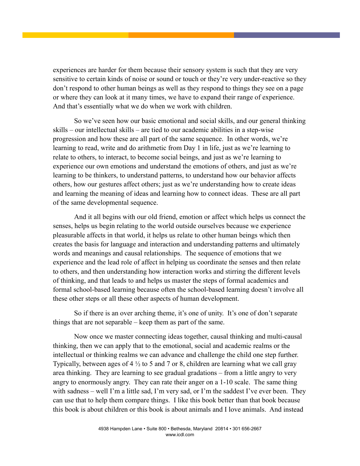experiences are harder for them because their sensory system is such that they are very sensitive to certain kinds of noise or sound or touch or they're very under-reactive so they don't respond to other human beings as well as they respond to things they see on a page or where they can look at it many times, we have to expand their range of experience. And that's essentially what we do when we work with children.

So we've seen how our basic emotional and social skills, and our general thinking skills – our intellectual skills – are tied to our academic abilities in a step-wise progression and how these are all part of the same sequence. In other words, we're learning to read, write and do arithmetic from Day 1 in life, just as we're learning to relate to others, to interact, to become social beings, and just as we're learning to experience our own emotions and understand the emotions of others, and just as we're learning to be thinkers, to understand patterns, to understand how our behavior affects others, how our gestures affect others; just as we're understanding how to create ideas and learning the meaning of ideas and learning how to connect ideas. These are all part of the same developmental sequence.

And it all begins with our old friend, emotion or affect which helps us connect the senses, helps us begin relating to the world outside ourselves because we experience pleasurable affects in that world, it helps us relate to other human beings which then creates the basis for language and interaction and understanding patterns and ultimately words and meanings and causal relationships. The sequence of emotions that we experience and the lead role of affect in helping us coordinate the senses and then relate to others, and then understanding how interaction works and stirring the different levels of thinking, and that leads to and helps us master the steps of formal academics and formal school-based learning because often the school-based learning doesn't involve all these other steps or all these other aspects of human development.

So if there is an over arching theme, it's one of unity. It's one of don't separate things that are not separable – keep them as part of the same.

Now once we master connecting ideas together, causal thinking and multi-causal thinking, then we can apply that to the emotional, social and academic realms or the intellectual or thinking realms we can advance and challenge the child one step further. Typically, between ages of 4  $\frac{1}{2}$  to 5 and 7 or 8, children are learning what we call gray area thinking. They are learning to see gradual gradations – from a little angry to very angry to enormously angry. They can rate their anger on a 1-10 scale. The same thing with sadness – well I'm a little sad, I'm very sad, or I'm the saddest I've ever been. They can use that to help them compare things. I like this book better than that book because this book is about children or this book is about animals and I love animals. And instead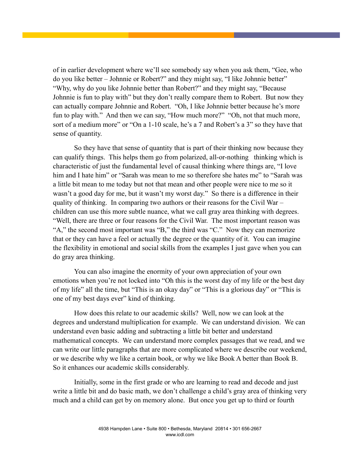of in earlier development where we'll see somebody say when you ask them, "Gee, who do you like better – Johnnie or Robert?" and they might say, "I like Johnnie better" "Why, why do you like Johnnie better than Robert?" and they might say, "Because Johnnie is fun to play with" but they don't really compare them to Robert. But now they can actually compare Johnnie and Robert. "Oh, I like Johnnie better because he's more fun to play with." And then we can say, "How much more?" "Oh, not that much more, sort of a medium more" or "On a 1-10 scale, he's a 7 and Robert's a 3" so they have that sense of quantity.

So they have that sense of quantity that is part of their thinking now because they can qualify things. This helps them go from polarized, all-or-nothing thinking which is characteristic of just the fundamental level of causal thinking where things are, "I love him and I hate him" or "Sarah was mean to me so therefore she hates me" to "Sarah was a little bit mean to me today but not that mean and other people were nice to me so it wasn't a good day for me, but it wasn't my worst day." So there is a difference in their quality of thinking. In comparing two authors or their reasons for the Civil War – children can use this more subtle nuance, what we call gray area thinking with degrees. "Well, there are three or four reasons for the Civil War. The most important reason was "A," the second most important was "B," the third was "C." Now they can memorize that or they can have a feel or actually the degree or the quantity of it. You can imagine the flexibility in emotional and social skills from the examples I just gave when you can do gray area thinking.

You can also imagine the enormity of your own appreciation of your own emotions when you're not locked into "Oh this is the worst day of my life or the best day of my life" all the time, but "This is an okay day" or "This is a glorious day" or "This is one of my best days ever" kind of thinking.

How does this relate to our academic skills? Well, now we can look at the degrees and understand multiplication for example. We can understand division. We can understand even basic adding and subtracting a little bit better and understand mathematical concepts. We can understand more complex passages that we read, and we can write our little paragraphs that are more complicated where we describe our weekend, or we describe why we like a certain book, or why we like Book A better than Book B. So it enhances our academic skills considerably.

Initially, some in the first grade or who are learning to read and decode and just write a little bit and do basic math, we don't challenge a child's gray area of thinking very much and a child can get by on memory alone. But once you get up to third or fourth